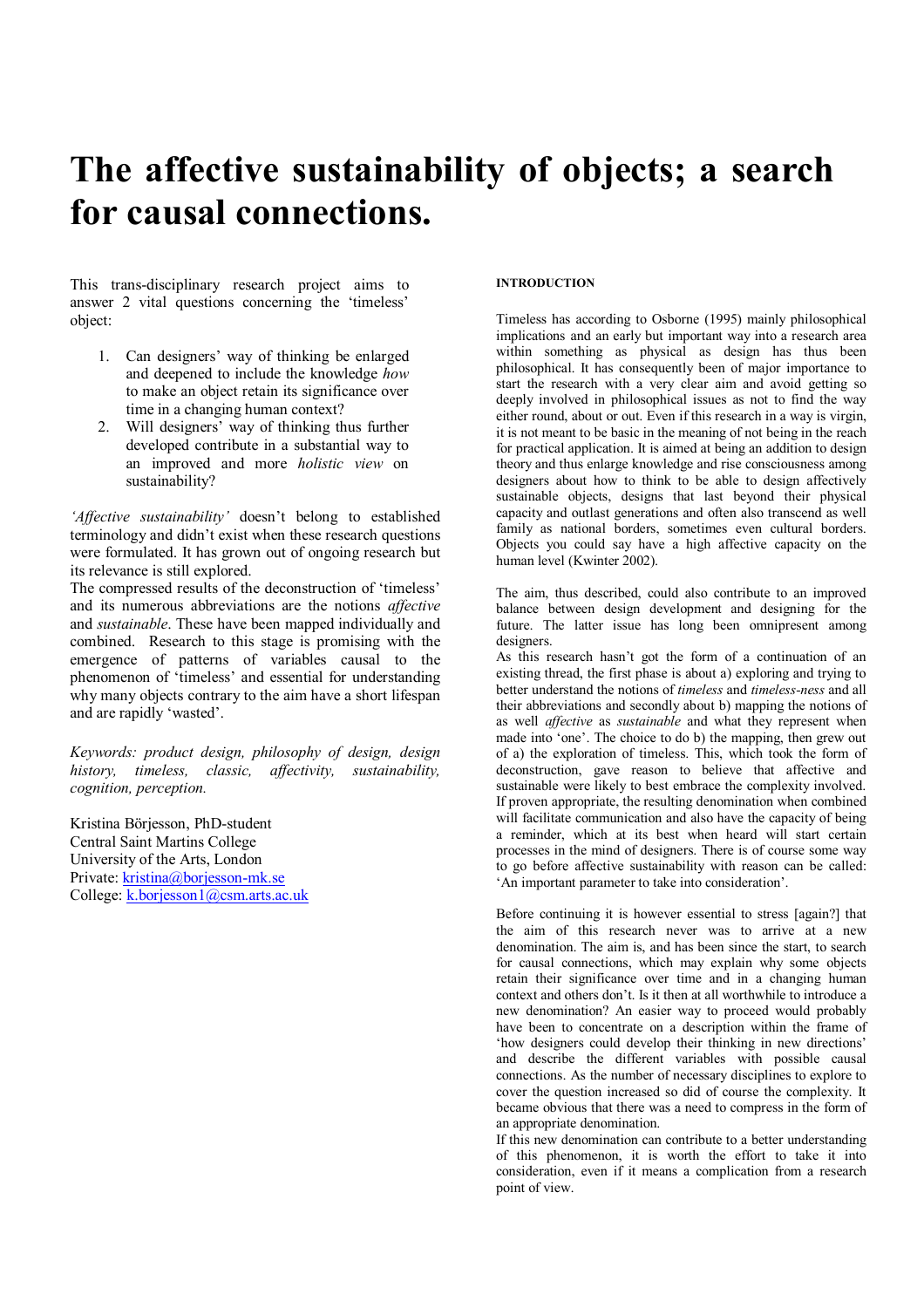# **The affective sustainability of objects; a search for causal connections.**

This trans-disciplinary research project aims to answer 2 vital questions concerning the 'timeless' object:

- 1. Can designers' way of thinking be enlarged and deepened to include the knowledge *how* to make an object retain its significance over time in a changing human context?
- 2. Will designers' way of thinking thus further developed contribute in a substantial way to an improved and more *holistic view* on sustainability?

*'Affective sustainability'* doesn't belong to established terminology and didn't exist when these research questions were formulated. It has grown out of ongoing research but its relevance is still explored.

The compressed results of the deconstruction of 'timeless' and its numerous abbreviations are the notions *affective* and *sustainable*. These have been mapped individually and combined. Research to this stage is promising with the emergence of patterns of variables causal to the phenomenon of 'timeless' and essential for understanding why many objects contrary to the aim have a short lifespan and are rapidly 'wasted'.

*Keywords: product design, philosophy of design, design history, timeless, classic, affectivity, sustainability, cognition, perception.* 

Kristina Börjesson, PhD-student Central Saint Martins College University of the Arts, London Private: kristina@borjesson-mk.se College: k.borjesson1@csm.arts.ac.uk

# **INTRODUCTION**

Timeless has according to Osborne (1995) mainly philosophical implications and an early but important way into a research area within something as physical as design has thus been philosophical. It has consequently been of major importance to start the research with a very clear aim and avoid getting so deeply involved in philosophical issues as not to find the way either round, about or out. Even if this research in a way is virgin, it is not meant to be basic in the meaning of not being in the reach for practical application. It is aimed at being an addition to design theory and thus enlarge knowledge and rise consciousness among designers about how to think to be able to design affectively sustainable objects, designs that last beyond their physical capacity and outlast generations and often also transcend as well family as national borders, sometimes even cultural borders. Objects you could say have a high affective capacity on the human level (Kwinter 2002).

The aim, thus described, could also contribute to an improved balance between design development and designing for the future. The latter issue has long been omnipresent among designers.

As this research hasn't got the form of a continuation of an existing thread, the first phase is about a) exploring and trying to better understand the notions of *timeless* and *timeless-ness* and all their abbreviations and secondly about b) mapping the notions of as well *affective* as *sustainable* and what they represent when made into 'one'. The choice to do b) the mapping, then grew out of a) the exploration of timeless. This, which took the form of deconstruction, gave reason to believe that affective and sustainable were likely to best embrace the complexity involved. If proven appropriate, the resulting denomination when combined will facilitate communication and also have the capacity of being a reminder, which at its best when heard will start certain processes in the mind of designers. There is of course some way to go before affective sustainability with reason can be called: 'An important parameter to take into consideration'.

Before continuing it is however essential to stress [again?] that the aim of this research never was to arrive at a new denomination. The aim is, and has been since the start, to search for causal connections, which may explain why some objects retain their significance over time and in a changing human context and others don't. Is it then at all worthwhile to introduce a new denomination? An easier way to proceed would probably have been to concentrate on a description within the frame of 'how designers could develop their thinking in new directions' and describe the different variables with possible causal connections. As the number of necessary disciplines to explore to cover the question increased so did of course the complexity. It became obvious that there was a need to compress in the form of an appropriate denomination.

If this new denomination can contribute to a better understanding of this phenomenon, it is worth the effort to take it into consideration, even if it means a complication from a research point of view.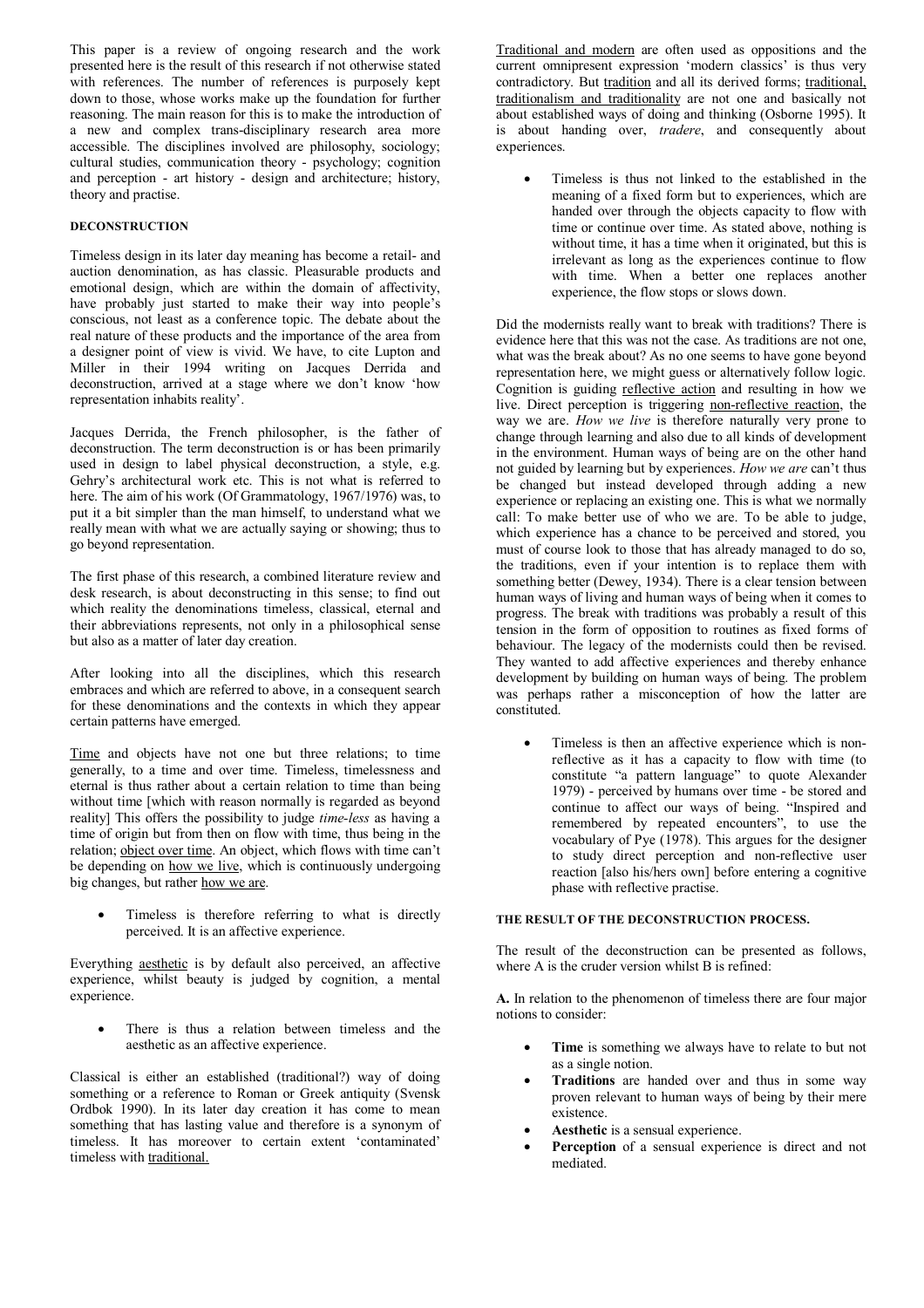This paper is a review of ongoing research and the work presented here is the result of this research if not otherwise stated with references. The number of references is purposely kept down to those, whose works make up the foundation for further reasoning. The main reason for this is to make the introduction of a new and complex trans-disciplinary research area more accessible. The disciplines involved are philosophy, sociology; cultural studies, communication theory - psychology; cognition and perception - art history - design and architecture; history, theory and practise.

# **DECONSTRUCTION**

Timeless design in its later day meaning has become a retail- and auction denomination, as has classic. Pleasurable products and emotional design, which are within the domain of affectivity, have probably just started to make their way into people's conscious, not least as a conference topic. The debate about the real nature of these products and the importance of the area from a designer point of view is vivid. We have, to cite Lupton and Miller in their 1994 writing on Jacques Derrida and deconstruction, arrived at a stage where we don't know 'how representation inhabits reality'.

Jacques Derrida, the French philosopher, is the father of deconstruction. The term deconstruction is or has been primarily used in design to label physical deconstruction, a style, e.g. Gehry's architectural work etc. This is not what is referred to here. The aim of his work (Of Grammatology, 1967/1976) was, to put it a bit simpler than the man himself, to understand what we really mean with what we are actually saying or showing; thus to go beyond representation.

The first phase of this research, a combined literature review and desk research, is about deconstructing in this sense; to find out which reality the denominations timeless, classical, eternal and their abbreviations represents, not only in a philosophical sense but also as a matter of later day creation.

After looking into all the disciplines, which this research embraces and which are referred to above, in a consequent search for these denominations and the contexts in which they appear certain patterns have emerged.

Time and objects have not one but three relations; to time generally, to a time and over time. Timeless, timelessness and eternal is thus rather about a certain relation to time than being without time [which with reason normally is regarded as beyond reality] This offers the possibility to judge *time-less* as having a time of origin but from then on flow with time, thus being in the relation; object over time. An object, which flows with time can't be depending on how we live, which is continuously undergoing big changes, but rather how we are.

Timeless is therefore referring to what is directly perceived. It is an affective experience.

Everything aesthetic is by default also perceived, an affective experience, whilst beauty is judged by cognition, a mental experience.

There is thus a relation between timeless and the aesthetic as an affective experience.

Classical is either an established (traditional?) way of doing something or a reference to Roman or Greek antiquity (Svensk Ordbok 1990). In its later day creation it has come to mean something that has lasting value and therefore is a synonym of timeless. It has moreover to certain extent 'contaminated' timeless with traditional.

Traditional and modern are often used as oppositions and the current omnipresent expression 'modern classics' is thus very contradictory. But tradition and all its derived forms; traditional, traditionalism and traditionality are not one and basically not about established ways of doing and thinking (Osborne 1995). It is about handing over, *tradere*, and consequently about experiences.

• Timeless is thus not linked to the established in the meaning of a fixed form but to experiences, which are handed over through the objects capacity to flow with time or continue over time. As stated above, nothing is without time, it has a time when it originated, but this is irrelevant as long as the experiences continue to flow with time. When a better one replaces another experience, the flow stops or slows down.

Did the modernists really want to break with traditions? There is evidence here that this was not the case. As traditions are not one, what was the break about? As no one seems to have gone beyond representation here, we might guess or alternatively follow logic. Cognition is guiding reflective action and resulting in how we live. Direct perception is triggering non-reflective reaction, the way we are. *How we live* is therefore naturally very prone to change through learning and also due to all kinds of development in the environment. Human ways of being are on the other hand not guided by learning but by experiences. *How we are* can't thus be changed but instead developed through adding a new experience or replacing an existing one. This is what we normally call: To make better use of who we are. To be able to judge, which experience has a chance to be perceived and stored, you must of course look to those that has already managed to do so, the traditions, even if your intention is to replace them with something better (Dewey, 1934). There is a clear tension between human ways of living and human ways of being when it comes to progress. The break with traditions was probably a result of this tension in the form of opposition to routines as fixed forms of behaviour. The legacy of the modernists could then be revised. They wanted to add affective experiences and thereby enhance development by building on human ways of being. The problem was perhaps rather a misconception of how the latter are constituted.

• Timeless is then an affective experience which is nonreflective as it has a capacity to flow with time (to constitute "a pattern language" to quote Alexander 1979) - perceived by humans over time - be stored and continue to affect our ways of being. "Inspired and remembered by repeated encounters", to use the vocabulary of Pye (1978). This argues for the designer to study direct perception and non-reflective user reaction [also his/hers own] before entering a cognitive phase with reflective practise.

#### **THE RESULT OF THE DECONSTRUCTION PROCESS.**

The result of the deconstruction can be presented as follows, where A is the cruder version whilst B is refined:

**A.** In relation to the phenomenon of timeless there are four major notions to consider:

- **Time** is something we always have to relate to but not as a single notion.
- **Traditions** are handed over and thus in some way proven relevant to human ways of being by their mere existence.
- **Aesthetic** is a sensual experience.
- Perception of a sensual experience is direct and not mediated.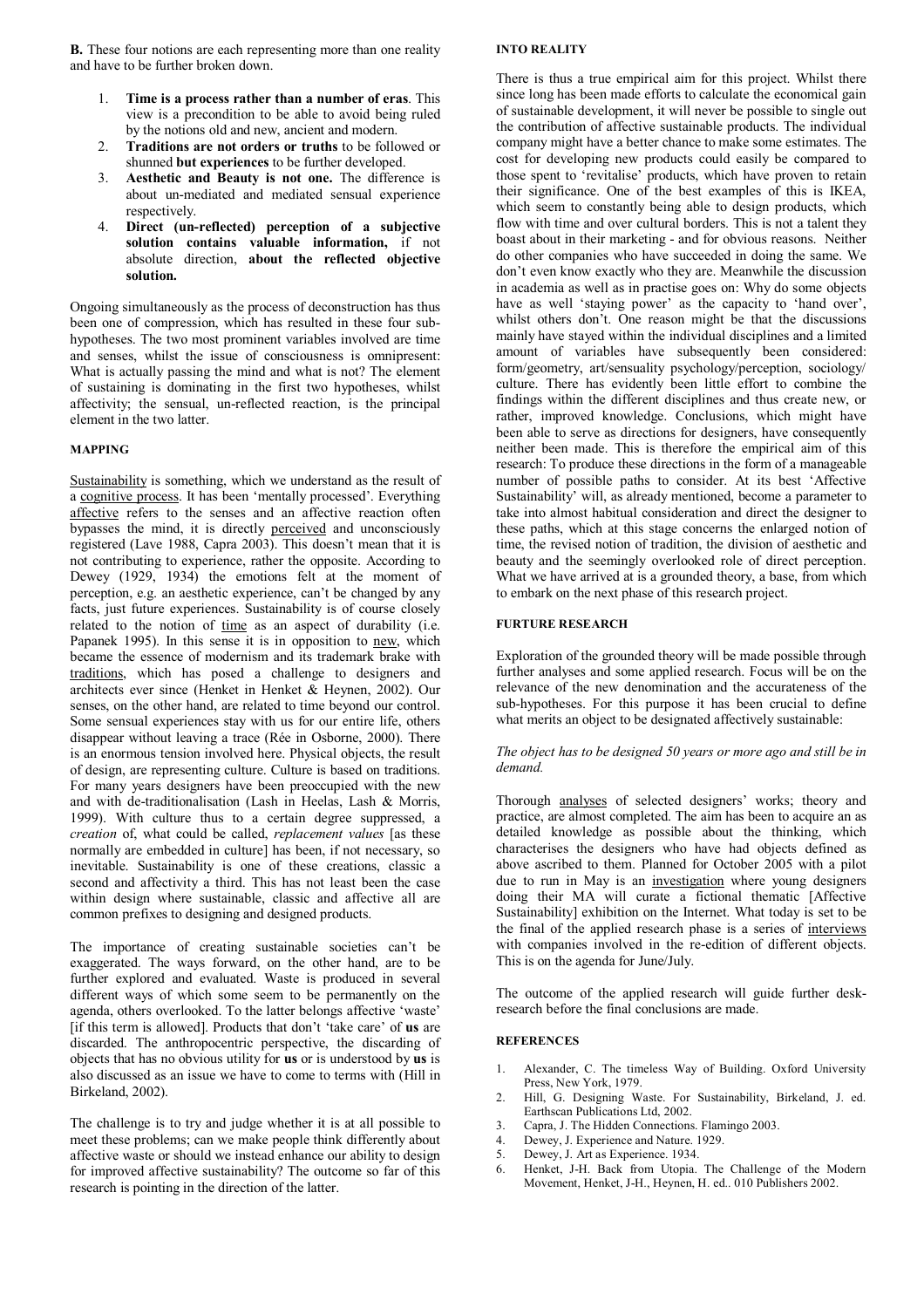**B.** These four notions are each representing more than one reality and have to be further broken down.

- 1. **Time is a process rather than a number of eras**. This view is a precondition to be able to avoid being ruled by the notions old and new, ancient and modern.
- 2. **Traditions are not orders or truths** to be followed or shunned **but experiences** to be further developed.
- 3. **Aesthetic and Beauty is not one.** The difference is about un-mediated and mediated sensual experience respectively.
- 4. **Direct (un-reflected) perception of a subjective solution contains valuable information,** if not absolute direction, **about the reflected objective solution.**

Ongoing simultaneously as the process of deconstruction has thus been one of compression, which has resulted in these four subhypotheses. The two most prominent variables involved are time and senses, whilst the issue of consciousness is omnipresent: What is actually passing the mind and what is not? The element of sustaining is dominating in the first two hypotheses, whilst affectivity; the sensual, un-reflected reaction, is the principal element in the two latter.

### **MAPPING**

Sustainability is something, which we understand as the result of a cognitive process. It has been 'mentally processed'. Everything affective refers to the senses and an affective reaction often bypasses the mind, it is directly perceived and unconsciously registered (Lave 1988, Capra 2003). This doesn't mean that it is not contributing to experience, rather the opposite. According to Dewey (1929, 1934) the emotions felt at the moment of perception, e.g. an aesthetic experience, can't be changed by any facts, just future experiences. Sustainability is of course closely related to the notion of time as an aspect of durability (i.e. Papanek 1995). In this sense it is in opposition to new, which became the essence of modernism and its trademark brake with traditions, which has posed a challenge to designers and architects ever since (Henket in Henket & Heynen, 2002). Our senses, on the other hand, are related to time beyond our control. Some sensual experiences stay with us for our entire life, others disappear without leaving a trace (Rée in Osborne, 2000). There is an enormous tension involved here. Physical objects, the result of design, are representing culture. Culture is based on traditions. For many years designers have been preoccupied with the new and with de-traditionalisation (Lash in Heelas, Lash & Morris, 1999). With culture thus to a certain degree suppressed, a *creation* of, what could be called, *replacement values* [as these normally are embedded in culture] has been, if not necessary, so inevitable. Sustainability is one of these creations, classic a second and affectivity a third. This has not least been the case within design where sustainable, classic and affective all are common prefixes to designing and designed products.

The importance of creating sustainable societies can't be exaggerated. The ways forward, on the other hand, are to be further explored and evaluated. Waste is produced in several different ways of which some seem to be permanently on the agenda, others overlooked. To the latter belongs affective 'waste' [if this term is allowed]. Products that don't 'take care' of **us** are discarded. The anthropocentric perspective, the discarding of objects that has no obvious utility for **us** or is understood by **us** is also discussed as an issue we have to come to terms with (Hill in Birkeland, 2002).

The challenge is to try and judge whether it is at all possible to meet these problems; can we make people think differently about affective waste or should we instead enhance our ability to design for improved affective sustainability? The outcome so far of this research is pointing in the direction of the latter.

#### **INTO REALITY**

There is thus a true empirical aim for this project. Whilst there since long has been made efforts to calculate the economical gain of sustainable development, it will never be possible to single out the contribution of affective sustainable products. The individual company might have a better chance to make some estimates. The cost for developing new products could easily be compared to those spent to 'revitalise' products, which have proven to retain their significance. One of the best examples of this is IKEA, which seem to constantly being able to design products, which flow with time and over cultural borders. This is not a talent they boast about in their marketing - and for obvious reasons. Neither do other companies who have succeeded in doing the same. We don't even know exactly who they are. Meanwhile the discussion in academia as well as in practise goes on: Why do some objects have as well 'staying power' as the capacity to 'hand over', whilst others don't. One reason might be that the discussions mainly have stayed within the individual disciplines and a limited amount of variables have subsequently been considered: form/geometry, art/sensuality psychology/perception, sociology/ culture. There has evidently been little effort to combine the findings within the different disciplines and thus create new, or rather, improved knowledge. Conclusions, which might have been able to serve as directions for designers, have consequently neither been made. This is therefore the empirical aim of this research: To produce these directions in the form of a manageable number of possible paths to consider. At its best 'Affective Sustainability' will, as already mentioned, become a parameter to take into almost habitual consideration and direct the designer to these paths, which at this stage concerns the enlarged notion of time, the revised notion of tradition, the division of aesthetic and beauty and the seemingly overlooked role of direct perception. What we have arrived at is a grounded theory, a base, from which to embark on the next phase of this research project.

#### **FURTURE RESEARCH**

Exploration of the grounded theory will be made possible through further analyses and some applied research. Focus will be on the relevance of the new denomination and the accurateness of the sub-hypotheses. For this purpose it has been crucial to define what merits an object to be designated affectively sustainable:

#### *The object has to be designed 50 years or more ago and still be in demand.*

Thorough analyses of selected designers' works; theory and practice, are almost completed. The aim has been to acquire an as detailed knowledge as possible about the thinking, which characterises the designers who have had objects defined as above ascribed to them. Planned for October 2005 with a pilot due to run in May is an investigation where young designers doing their MA will curate a fictional thematic [Affective Sustainability] exhibition on the Internet. What today is set to be the final of the applied research phase is a series of interviews with companies involved in the re-edition of different objects. This is on the agenda for June/July.

The outcome of the applied research will guide further deskresearch before the final conclusions are made.

#### **REFERENCES**

- 1. Alexander, C. The timeless Way of Building. Oxford University Press, New York, 1979.
- 2. Hill, G. Designing Waste. For Sustainability, Birkeland, J. ed. Earthscan Publications Ltd, 2002.
- 3. Capra, J. The Hidden Connections. Flamingo 2003.
- 4. Dewey, J. Experience and Nature. 1929.
- 5. Dewey, J. Art as Experience. 1934.
- 6. Henket, J-H. Back from Utopia. The Challenge of the Modern Movement, Henket, J-H., Heynen, H. ed.. 010 Publishers 2002.